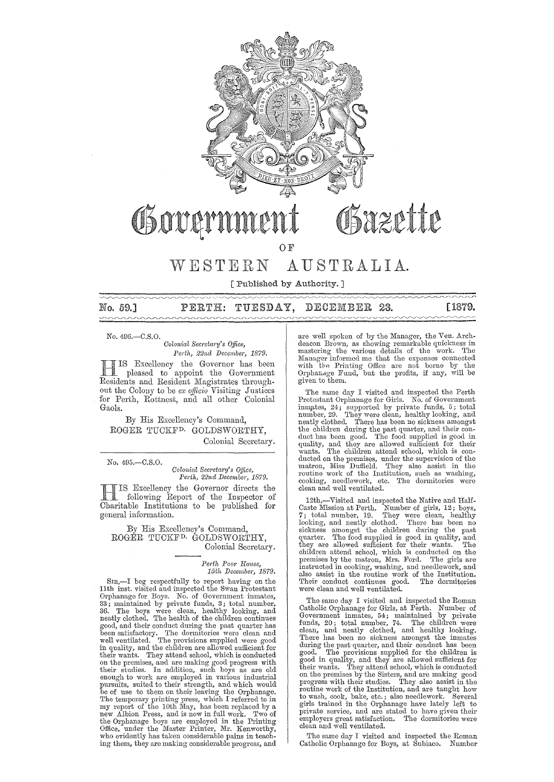

# Osazette Governmer

OF

## WESTERN AUSTRALIA.

[Published by Authority. ]

PERTH: TUESDAY, DECEMBER 23. No. 59.]

**[1879.** 

No. 49G.-C.S.0.

*Colonial Secretary's Office,* Perth, 22nd December, 1879.

HIS Excellency the Govemor has been pleased to appoint the Government Residents and Resident Magistrates throughout the Colony to be *ex officio* Visiting Justices for Perth, Rottnest, and all other Colonial Gaols.

By His Excellency's Command, ROGER TUCKFD. GOLDSWORTHY, Colonial Secretary.

No. 495.-C.S.O.

*Colonial Secretary's Office, Perth, 22nd December, 1879.* 

HIS Excellency the Governor directs the following Report of the Inspector of Charitable Institutions to be published for general information.

By His Excellency's Command, ROGER TUCKFD. GOLDSWORTHY, Colonial Secretary.

> $Perth$  Poor House, *15th December, 1879.*

SIR,-I beg respectfully to report having on the 11 th inst. visited and inspected the Swan Protestant Orphanage for Boys. No. of Government inmates, 33; maintained by private funds, 3; total number, 3G. The boys were clean, healthy looking, and neatly clothed. The health of the children continues good, and their conduct during the past quarter has<br>been satisfactory. The dormitories were clean and<br>well ventilated. The provisions supplied were good<br>in quality, and the children are allowed sufficient for<br>their wants. on the premises, and are making good progress with their studies. In addition, such boys as are old enough to work are employed in various industrial pursuits, suited to their strength, and which would be of use to them on their leaving the Orphanage.<br>The temporary printing press, which I referred to in<br>my report of the 10th May, has been replaced by a<br>new Albion Press, and is now in full work. Two of<br>the Orphanage boys ing them, they are making considerable progress, and are well spoken of by the Manager, the Ven. Archdeacon Brown, as showing remarkable quickness in mastering the various details of the work. The Manager informed me that the expenses connected with the Printing Office are not borne by the Orphanage Fund, but the profits, if any, will be given to them.

The same day I visited and inspected the Perth Protestant Orphanage for Girls. No. of Government inmates, 24; supported by private funds, 5; total<br>number, 29. They were clean, healthy looking, and<br>neatly clothed. There has been no sickness amongst<br>the children during the past quarter, and their con-<br>duct has been good ducted on the premises, under the supervision of the matron, Miss Duffield. They also assist in the routine work of the Institution, such as washing, cooking, needlework, etc. The dormitories were clean and well ventilated.

12th,-Visited and inspected the Native and Half-Caste Mission at Perth. Number of girls, 12; boys,<br>7; total number, 19. They were clean, healthy<br>looking, and neatly clothed. There has been no<br>sickness amongst the children during the past<br>quarter. The food supplied is go children attend school, which is conducted on the premises by the matron, Mrs. Ford. The girls are instructed in cooking, washing, and needlework, and in also assist in the routine work of the Institution. Their conduct co were clean and well ventilated.

The same day I visited and inspected the Roman Catholic Orphanage for Girls, at Perth. Number of Government inmates,  $54$ ; maintained by private funds,  $20$ ; total number,  $74$ . The children were clean, and neatly clothed, and healthy looking. There has been no sickness amongst the inmates during the past quarter, an on the premises by the Sisters, and are making good<br>progress with their studies. They also assist in the<br>routine work of the Institution, and are taught how<br>to wash, cook, bake, etc.; also needlework. Several<br>girls trained employers great satisfaction. The dormitories were employers great satisfaction.<br>clean and well ventilated.

The same day I visited and inspected the Roman Catholic Orphanage for Boys, at Subiaco. Number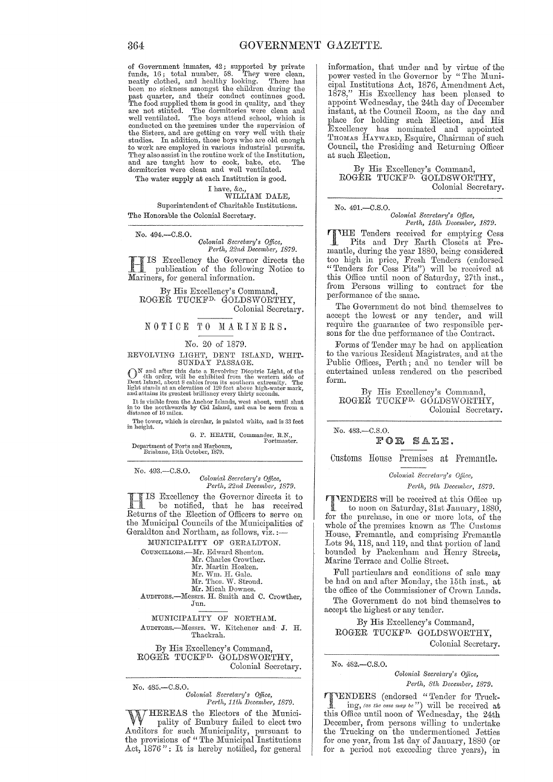of Government inmates, 42; supported by private funds, 16; total number, 58. They were clean, neatly clothed, and healthy looking. There has been no sickness amongst the children during the past quarter, and their conduct continues good.<br>The food supplied them is good in quality, and they<br>are not stinted. The dominiories were clean and<br>well ventilated. The boys attend school, which is<br>conducted on the premise the Sisters, and are getting on very well with their<br>studies. In addition, those boys who are old enough<br>to work are employed in various industrial pursuits.<br>They also assist in the routine work of the Institution,<br>and are

The water supply at each Institution is good.

I have, &c.,<br>WILLIAM DALE, Superintendent of Charitable Institutions. The Honorable the Colonial Secretary.

No. 494.-C.S.0.

*Oolonial SeC)'eta1'Y's Office, Perth, 22nd December, 1879.* 

H IS Excellency the Governor directs the publication of the following Notice to Mariners, for general information.

By His Excellency's Command, ROGER TUCKFD, GOLDSWORTHY, Colonial Secretary.

NOTICE TO MARINERS.

#### No. 20 of 1879.

# REVOLVING LIGHT, DENT ISLAND, WHIT-SUNDAY PASSAGE.

 $\mathbb{O}^{\mathbb{N}}$  and after this date a Revolving Dioptric Light, of the  $\mathbb{N}$  th order, will be extrinside of  $\mathbb{N}$  pent Island, about 8 cables from its southern extremity. The light stands at an elevation of 120 feet above high-water mark, and attains its greatest brilliancy every thirty seconds.

It is visible from the Anchor Islands, west about, until shut in to the northwards by Cid Island, and can be seen from a distance of 16 miles.

The tower, which is circular, is painted white, and is  $33$  feet in height.  $\,$ 

G. P. HEATH, Commander, R.N., Portmaster.

Department of Ports and Harbours,<br>Brisbane, 13th October, 1879.

No. 493.-C.S.O.

*Colonial Secretary's Office,*<br>Perth, 22nd December, 1879. *Perth, 22ncl December, 1879.* 

HIS Excellency the Governor directs it to<br>be notified, that he has received be notified, that he has received Returns of the Election of Officers to serve on the Municipal Councils of the Municipalities of Geraldton and Northam, as follows, viz. :-

MUNICIPALITY OF GERALDTON.

COUNCILLORS.--Mr. Edward Shenton.

- Mr. Charles Crowther.<br>Mr. Martin Hosken.
	-
- Mr. Wm. H. Gale.<br>Mr. Thos. W. Stroud.
- Mr. Micah Downes.

AUDIToRs.-Mcssrs. H. Smith and C. Crowther, Jun.

MUNICIPALITY OF NORTHAM. AUDITORS.--Messrs. W. Kitchener and J. H. Thackrah.

By His Excellency's Command, ROGER TUCKFD. GOLDSWORTHY, Colonial Secretary.

No. 485.-C.S.0. *Oolonial Sec1'et(Vi'Y's Office, Perth, 11th December, 1879.* 

 $J$ HEREAS the Electors of the Municipality of Bunbury failed to elect two Auditors for such Municipality, pursuant to the provisions of "The Municipal Institutions"

Act, 1876": It is hereby notified, for general

information, that under and by virtue of the power vested in the Governor by "The Municipal Institutions Act, 1876, Amendment Act, 1878," His Excellency has been pleased to appoint Wednesday, the 24th day of December instant, at the Council Room, as the day and place for holding such Election, and His Excellency has nominated and appointed THOMAS HAYWARD, Esquire, Chairman of such Council, the Presiding and Returning Officer at such Election.

By His Excellency's Command, ROGER TUCKF<sup>D.</sup> GOLDSWORTHY, Colonial Secretary.

No. 491.-C.S.O.

*Colonial Secretary's Office, Perth, 15th December, 1879.* 

THE Tenders received for emptying Cess<br>
Pits and Dry Earth Closets at Fremantle, during the year 1880, being considered too high in price, Fresh Tenders (endorsed "Tenders for Cess Pits") will be received at this Office until noon of Saturday, 27th inst., from Persons willing to contract for the performance of the same.

The Government do not bind themselves to accept the lowest or any tender, and will require the guarantee of two responsible persons for the due petformance of the Contract.

Forms of Tender may be had on application to the various Resident Magistrates, and at the Public Offices, Perth; and no tender will be entertained unless rendered on the pescribed form.

By His Excellency's Command, ROGER TUCKF<sup>D.</sup> GOLDSWORTHY, Colonial Secretary.

No. 483.-C.S.0.

FOR SALE.

Customs House Premises at Fremantle.

*Oolonial Sccl'cta"y's Oplce,* 

*Perth, 9th December, 18'79.* 

**1'ENDERS** will be received at this Office up to noon on Saturday, 31st January, 1880, for the purchase, in one or more lots, of the whole of the premises known as The Customs House, Fremantle, and comprising Fremantle Lots 94, 118, and 119, and that portion of land bounded by Packenham and Henry Streets, Marine Terrace and Collie Street.

Full particulars and conditions of sale may be had on and after Monday, the 15th inst., at the office of the Commissioner of Crown Lands.

The Government do not bind themselves to accept the highest or any tender.

By His Excellency's Command, ROGER TUCKF<sup>D.</sup> GOLDSWORTHY, Colonial Secretary.

No. 482-C.S.O.

*Oolonial Secreta1'Y's OJ]ice,*  Perth, 8th December, 1879.

TENDERS (endorsed "Tender for Truck-<br>in  $\alpha$ , *(as the case may be received as the received of the received of the received of the received of the received of the received of the received of the received of the received of* ing, (as the case may be") will be received at this Office until noon of Wednesday, the 24th December, from persons willing to undertake the Trucking on the undermentioned Jetties for one year, from 1st day of January, 1880 (or for a period not exceeding three years), in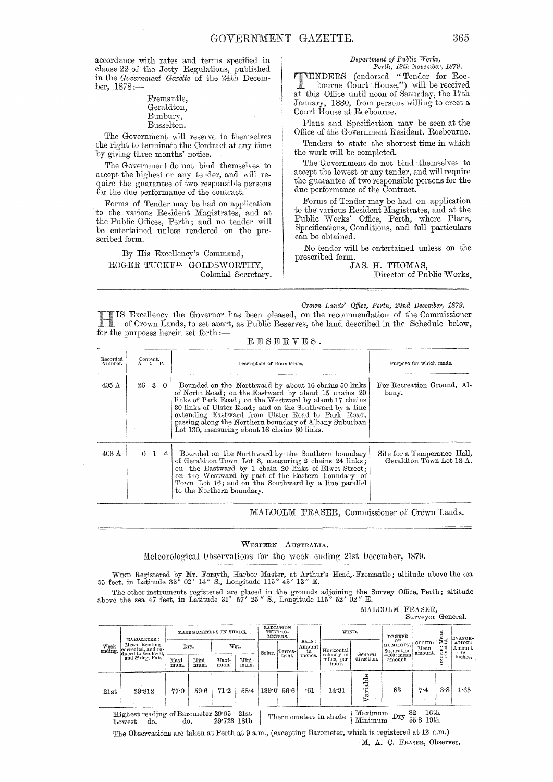accordance with mtes and terms specified in clause 22 of the Jetty Regulations, published in the *Government Gazette* of the 24th Decemher, 1878:-

#### Fremantle, Geraldton, Bunbury, Busselton.

The Government will reserve to themselves the right to terminate the Contract at any time by giving three months' notice.

The Government do not bind themselves to accept the highest or any tender, and will require the guarantee of two responsible persons for the due performance of the contract.

Forms of Tender may be had on application to the various Resident Magistrates, and at the Public Offices, Perth; and no tender will be entertained unless rendered on the prescribed form.

By His Excellency's Oommand, ROGER TUOKFD. GOLDSWORTHY, Oolonial Secretary.

## *Depm'tment of P1!blic Wm'ks,*

*Perth, 18th November, 1879.*<br> **PURENDERS** (endorsed "Tender for Roe-TENDERS (CHROSSER TENDER FOR ROOM at this Office until noon of Saturday, the 17th January, 1880, from persons willing to erect a Oourt House at Roebourne.

Plans and Specification may be seen at the Office of the Government Resident, Roebourne.

Tenders to state the shortest time in which the work will be completed.

The Government do not bind themselves to accept the lowest or any tender, and will require the guarantee of two responsible persons for the due performance of the Oontract.

Forms of Tender may be had on application to the various Resident Magistrates, and at the Public Works' Office, Perth, where Plans, Specifications, Oonditions, and full particulars can be obtained.

No tender will be entertained unless on the prescribed form.

JAS. H. THOMAS,

Director of Public Works.

*Crown Lands' Office, Perth, 22nd December, 1879.* 

HIS Excellency the Governor has been pleased, on the recommendation of the Oommissioner of Orown Lands, to set apart, as Public Reserves, the land described in the Schedule below, for the purposes herein set forth: $-$ 

| Recorded<br>Number. | $\overset{\text{Content.}}{\Lambda}$ R. P. | Description of Boundaries.                                                                                                                                                                                                                                                                                                                                                                       | Purpose for which made.                                 |
|---------------------|--------------------------------------------|--------------------------------------------------------------------------------------------------------------------------------------------------------------------------------------------------------------------------------------------------------------------------------------------------------------------------------------------------------------------------------------------------|---------------------------------------------------------|
| $405 \text{ A}$     | 2630                                       | Bounded on the Northward by about 16 chains 50 links<br>of North Road; on the Eastward by about 15 chains 20<br>links of Park Road; on the Westward by about 17 chains<br>30 links of Ulster Road; and on the Southward by a line<br>extending Eastward from Ulster Road to Park Road,<br>passing along the Northern boundary of Albany Suburban<br>Lot 130, measuring about 16 chains 60 links. | For Recreation Ground, Al-<br>bany.                     |
| $406 \text{ A}$     | $\Omega$<br>1<br>4 I                       | Bounded on the Northward by the Southern boundary<br>of Geraldton Town Lot 8, measuring 2 chains 24 links;<br>on the Eastward by 1 chain 20 links of Elwes Street;<br>on the Westward by part of the Eastern boundary of<br>Town Lot 16; and on the Southward by a line parallel<br>to the Northern boundary.                                                                                    | Site for a Temperance Hall,<br>Geraldton Town Lot 18 A. |

RESERVES.

MALOOLM FRASER, Oommissioner of Orown Lands.

#### WESTERN AUSTRALIA.

Meteorological Observations for the week ending 21st December, 1879.

WIND Registered by Mr. Forsyth, Harbor Master, at Arthur's Head, Fremantle; altitude above the sea 55 feet, in Latitude 32° 02' 14" S., Longitude 115° 45' 12" E.

The other instruments registered are placed in the grounds adjoining the Survey Office, Perth; altitude above the sea 47 feet, in Latitude 31° 57' 25" S., Longitude 115° 52' 02" E.

MALCOLM FRASER, Surveyor General.

|                 | BAROMETER:                                                |               |               | THERMOMETERS IN SHADE. |               |        | RADIATION<br>THERMO-<br>METERS. |                                  | WIND.                     |                      | DEGREE<br>OF                             |                          | : Mean<br>unt. | EVAPOR-                       |
|-----------------|-----------------------------------------------------------|---------------|---------------|------------------------|---------------|--------|---------------------------------|----------------------------------|---------------------------|----------------------|------------------------------------------|--------------------------|----------------|-------------------------------|
| Week<br>ending. | Mean Reading<br>corrected, and re-<br>duced to sea level, |               | Dry.          |                        | Wet.          | Solar. | Terres-<br>trial.               | RAIN:<br>Amount<br>in<br>inches. | Horizontal<br>velocity in | General              | HUMIDITY,<br>Saturation<br>$=100$ : mean | CLOUD:<br>Mean<br>amount | <b>ZONE</b>    | ATION:<br>Amount<br>$\cdot$ m |
|                 | and 32 deg, Fah.                                          | Maxi-<br>mum. | Mini-<br>mum. | Maxi-<br>mum.          | Mini-<br>mum. |        |                                 |                                  | miles, per<br>hour.       | direction.           | amount.                                  |                          | ٥              | inches.                       |
| 21st            | 29.812                                                    | 77.0          | 59.6          | 71:2                   | 584           | 139.0  | 56.6                            | .61                              | 14.31                     | ನ್ನಡ<br>.<br>al<br>⊳ | 83                                       | 7.4                      | 3.8            | $1.65\,$                      |
|                 | Highest reading of Barometer 29.95<br>do.<br>Lowest       | do.           |               | 29.723 18th            | 21st          |        |                                 |                                  | Thermometers in shade     | Maximum<br>Minimum   | $_{\rm{Dry}}$                            | 16th<br>82<br>55.819th   |                |                               |

The Observations are taken at Perth at 9 a.m., (excepting Barometer, which is registered at 12 a.m.) M. A. C. FRASER, Observer.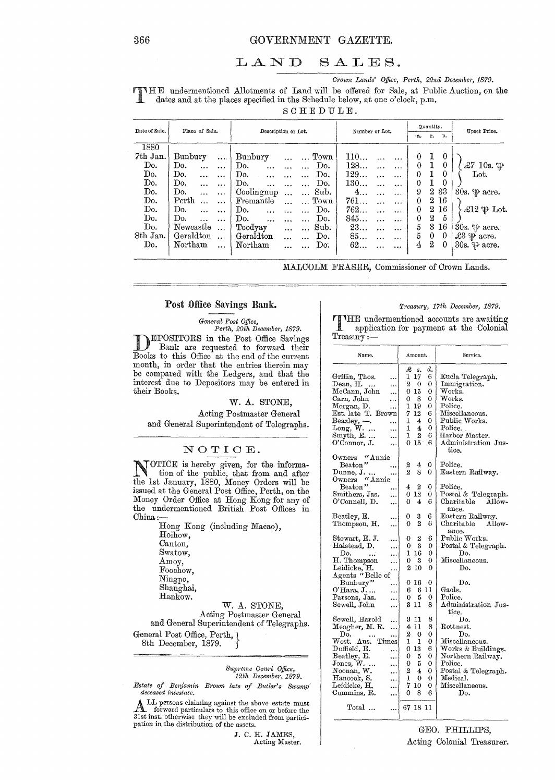## LAND SALES.

 $Crown$  Lands' Office, Perth, 22nd December, 1879.

T HE undermentioned Allotments of Land will be offered for Sale, at Public Auction, on the dates and at the places specified in the Schedule below, at one o'clock, p.m.

SCHEDULE.

| Date of Sale. |           | Place of Sale. |           |            | Description of Lot. |           |                      |      |     | Number of Lot. |           |                | Quantity.        |          | Upset Price.                    |
|---------------|-----------|----------------|-----------|------------|---------------------|-----------|----------------------|------|-----|----------------|-----------|----------------|------------------|----------|---------------------------------|
|               |           |                |           |            |                     |           |                      |      |     |                |           | B <sub>o</sub> | r.               | р.       |                                 |
| 1880          |           |                |           |            |                     |           |                      |      |     |                |           |                |                  |          |                                 |
| 7th Jan.      | Bunbury   |                | $\cdots$  | Bunbury    |                     |           |                      | Town | 110 |                |           | $\theta$       | 1                | $\bf{0}$ |                                 |
| Do.           | Do.       | $\cdots$       |           | Do.        |                     |           |                      | Do.  | 128 |                | $\cdots$  | $\theta$       |                  | $\bf{0}$ | $\pounds$ 7 10s. $\mathfrak{P}$ |
| Do.           | Do.       |                | $\ddotsc$ | Do.        |                     |           |                      | Do.  | 129 |                | $\ddotsc$ | $\Omega$       |                  | 0        | Lot.                            |
| Do.           | Do.       |                | $\ddotsc$ | Do.        |                     |           |                      | Do.  | 130 |                |           | 0              | 1                | $\theta$ |                                 |
| Do.           | Do.       | $\cdots$       | $\cdots$  | Coolingnup |                     | $\ddotsc$ | $\cdots$             | Sub. | 4   | $\cdots$       | $\ddotsc$ | 9              | $^{2}$           | 33       | 30s. $\psi$ acre.               |
| Do.           | Perth     |                | $\ddotsc$ | Fremantle  |                     |           | $\ddot{\phantom{a}}$ | Town | 761 |                | $\cdots$  | 0              | $^{2}$           | -16      |                                 |
| Do.           | Do.       |                | $\ddotsc$ | Do.        | $\ddotsc$           |           |                      | Do.  | 762 |                | $\cdots$  | $\theta$       | 2                | 16       | $\pounds12 \psi$ Lot.           |
| Do.           | Do.       |                | $\ddotsc$ | Do.        |                     |           |                      | Do.  | 845 |                | $\ddotsc$ | 0              | $\overline{2}$   | 5        |                                 |
| Do.           | Newcastle |                | $\cdots$  | Toodyay    |                     |           | $\cdots$             | Sub. | 23  | $\ddotsc$      | $\cdots$  | 5              | 3                | 16       | 30s. $\mathfrak{P}$ acre.       |
| 8th Jan.      | Geraldton |                | $\ddotsc$ | Geraldton  |                     |           |                      | Do.  | 85  |                | $\cdots$  | 5              | $\bf{0}$         | $\theta$ | £3 $\mathscr{P}$ acre.          |
| Do.           | Northam   |                | $\ddotsc$ | Northam    |                     |           |                      | Do.  | 62  |                |           | 4              | $\boldsymbol{2}$ | -0       | 30s. $\mathcal{P}$ acre.        |
|               |           |                |           |            |                     |           |                      |      |     |                |           |                |                  |          |                                 |

MALCOLM FRASER, Commissioner of Crown Lands.

#### Post Office Savings Bank.

*General Post Office, Perth, 20th December, 1879.*<br> **EPOSITORS** in the Post Office Savings **DEPOSITORS** in the Post Office Savings<br>
Bank are requested to forward their<br>
Banks to this Office at the ard of the summat Books to this Office at the end of the current month, in order that the entries therein may be compared with the Ledgers, and that the interest due to Depositors may be entered in their Books.

W. A. STONE,

Acting Postmaster General and General Superintendent of Telegraphs.

## NOTIOE.

NOTICE is hereby given, for the informa-<br>tion of the public, that from and after the 1st January, 1880, Money Orders will be issued at the General Post Office, Perth, on the Money Order Office at Hong Kong for any of the undermentioned British Post Offices in China:-

Hong Kong (including Macao), Hoihow, Canton, Swatow, Amoy, Foochow, Ningpo, Shanghai, Hankow. W. A. STONE, Acting Postmaster General

and General Superintendent of Telegraphs. General Post Office, Perth,  $\chi$ 8th December, 1879.

> *Supreme Cowtt Office, 12th Decernber, 1879.*

*Estate of Benjamin Brown late of Butler's Swamp deceased intestate.* 

ALL persons claiming against the above estate must forward particulars to this office on or before the 31st inst. otherwise they will be excluded from participation in the distribution of the assets.

> J. C. H. JAMES, Acting Master.

#### *Treasury, 17th December, 1879.*

THE undermentioned accounts are awaiting<br>application for payment at the Colonial application for payment at the Colonial Treasury:-

| Name.                     | Amount.              |         | Service.                   |
|---------------------------|----------------------|---------|----------------------------|
|                           | £<br>s.              | ď.      |                            |
| Griffin, Thos.            | 1<br>-17             | 6       | Eucla Telegraph.           |
| <br>Dean, H.              | 2<br>- 0             | 0       | Immigration.               |
|                           | 15<br>0              | 0       | Works.                     |
| McCann, John<br>          |                      |         |                            |
| Carn, John<br>            | - 8<br>0             | 0       | Works.                     |
| Morgan, D.<br>            | 1<br>19              | 0       | Police.                    |
| Est. late T. Brown        | 12<br>7              | 6       | Miscellaneous.             |
| Beazley, ---.<br>         | 1<br>$-4$            | 0       | Public Works.              |
| $Long, W.$<br>.           | 1<br>4               | 0       | Police.                    |
| Smyth, $E$<br>            | 1<br>2               | 6       | Harbor Master.             |
| O'Connor, J.<br>          | 15 <sup>°</sup><br>0 | 6       | Administration Jus-        |
|                           |                      |         | tice.                      |
| Owners "Annie             |                      |         | Police.                    |
| Beaton"<br>               | 2<br>4               | 0       |                            |
| Dunne, J.<br>             | 2<br>8               | 0       | Eastern Railway.           |
| "Annie<br>$0$ wners       |                      |         |                            |
| Beaton"<br>               | 4<br>2               | 0       | Police.                    |
| Smithers, Jas.<br>        | $0\;12$              | 0       | Postal & Telegraph.        |
| O'Connell, D.<br>         | 0<br>4               | 6       | Charitable Allow-<br>ance. |
| Beatley, E.<br>           | 3<br>0               | 6       | Eastern Railway.           |
| Thompson, H.<br>          | 2<br>0               | 6       | Charitable<br>Allow-       |
|                           |                      |         | ance.                      |
| Stewart, E. J.<br>        | 2<br>0               | 6       | Public Works.              |
| Halstead, D.<br>.         | - 3<br>0             | 0       | Postal & Telegraph.        |
| Do.<br>$\ddotsc$<br>      | 16<br>1              | 0       | Do.                        |
| H. Thompson<br>.          | 0<br>3               | 0       | Miscellaneous.             |
| Leidicke, H.<br>          | 10<br>2              | 0       | Do.                        |
| Agents "Belle of          |                      |         |                            |
| Bunbury"<br>.             | 0<br>16              | 0       | Do.                        |
| O'Hara, J.<br>            | 6                    | $6\,11$ | Gaols.                     |
| Parsons, Jas.<br>.        | 0<br>5               | 0       | ${\rm Police.}$            |
| Sewell, John<br>          | 3<br>11              | 8       | Administration Jus-        |
|                           |                      |         | tice.                      |
| Sewell, Harold<br>        | 3<br>11              | 8       | Do.                        |
| Meagher, M. R.<br>        | 11<br>4              | 8       | ${\rm Rottnest.}$          |
| Do.                       | 2<br>0               | 0       | Do.                        |
| <br>Times                 | 1<br>1               | 0       |                            |
| West. Aus.                |                      |         | Miscellaneous.             |
| Duffield, E.<br>          | 13<br>0              | 6       | Works & Buildings.         |
| Beatley, E.<br>           | 0<br>5               | 0       | Northern Railway.          |
| Jones, $W_{\cdots}$ .<br> | 0<br>5               | 0       | Police.                    |
| Noonan, W.<br>            | 2<br>4               | 0       | Postal & Telegraph.        |
| Hancock, S.<br>           | 1<br>- 0             | 0       | Medical.                   |
| Leidicke, H.<br>          | 7<br>10              | 0       | Miscellaneous.             |
| Cummins, R.<br>           | 8<br>0               | 6       | Do.                        |
| Total                     | 67 18 11<br>1        |         |                            |

### GEO. PHILLIPS, Acting Colonial Treasurer.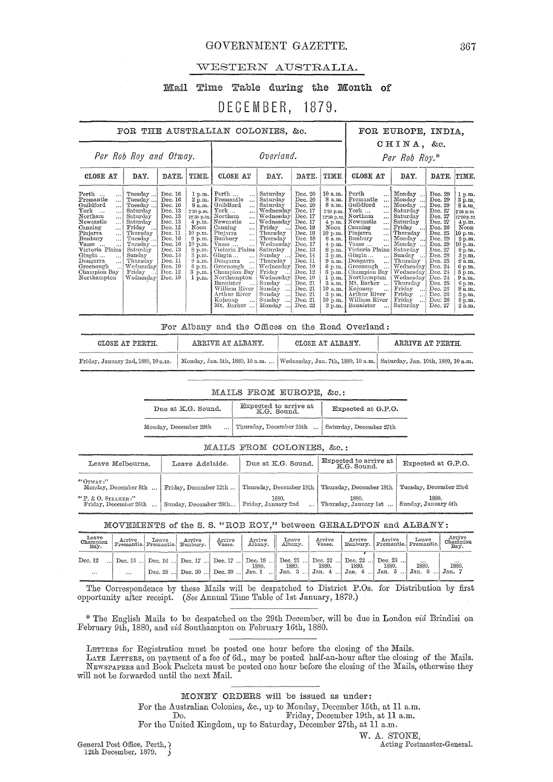## GOVERNMENT GAZETTE. 367

## WESTERN AUSTRALIA.

## Mail Time Table during the Month of

## DECEMBER, 1879.

|                                                                                                                                                                                                                                                                                                                                                                  |                                                                                                                                                                                     |                                                                                                                                                                              |                                                                                                                                                                                                              | FOR THE AUSTRALIAN COLONIES, &c.                                                                                                                                                                                                                                                                                                                                                                                                                           |                                                                                                                                                                                                                                                                                                  |                                                                                                                                                                                                                                     |                                                                                                                                                                                                                                                             |                                                                                                                                                                                                                                                                                                                                                                                                     | FOR EUROPE, INDIA,                                                                                                                                                                                                                                                 |                                                                                                                                                                                                                                     |                                                                                                                                                                                                                    |
|------------------------------------------------------------------------------------------------------------------------------------------------------------------------------------------------------------------------------------------------------------------------------------------------------------------------------------------------------------------|-------------------------------------------------------------------------------------------------------------------------------------------------------------------------------------|------------------------------------------------------------------------------------------------------------------------------------------------------------------------------|--------------------------------------------------------------------------------------------------------------------------------------------------------------------------------------------------------------|------------------------------------------------------------------------------------------------------------------------------------------------------------------------------------------------------------------------------------------------------------------------------------------------------------------------------------------------------------------------------------------------------------------------------------------------------------|--------------------------------------------------------------------------------------------------------------------------------------------------------------------------------------------------------------------------------------------------------------------------------------------------|-------------------------------------------------------------------------------------------------------------------------------------------------------------------------------------------------------------------------------------|-------------------------------------------------------------------------------------------------------------------------------------------------------------------------------------------------------------------------------------------------------------|-----------------------------------------------------------------------------------------------------------------------------------------------------------------------------------------------------------------------------------------------------------------------------------------------------------------------------------------------------------------------------------------------------|--------------------------------------------------------------------------------------------------------------------------------------------------------------------------------------------------------------------------------------------------------------------|-------------------------------------------------------------------------------------------------------------------------------------------------------------------------------------------------------------------------------------|--------------------------------------------------------------------------------------------------------------------------------------------------------------------------------------------------------------------|
|                                                                                                                                                                                                                                                                                                                                                                  | Per Rob Roy and Otway.                                                                                                                                                              |                                                                                                                                                                              |                                                                                                                                                                                                              |                                                                                                                                                                                                                                                                                                                                                                                                                                                            | Overland.                                                                                                                                                                                                                                                                                        |                                                                                                                                                                                                                                     |                                                                                                                                                                                                                                                             |                                                                                                                                                                                                                                                                                                                                                                                                     | CHINA, &c.<br>Per Rob Roy.*                                                                                                                                                                                                                                        |                                                                                                                                                                                                                                     |                                                                                                                                                                                                                    |
| CLOSE AT                                                                                                                                                                                                                                                                                                                                                         | DAY.                                                                                                                                                                                | DATE.                                                                                                                                                                        | TIME.                                                                                                                                                                                                        | CLOSE AT                                                                                                                                                                                                                                                                                                                                                                                                                                                   | DAY.                                                                                                                                                                                                                                                                                             | DATE.                                                                                                                                                                                                                               | TIME.                                                                                                                                                                                                                                                       | CLOSE AT                                                                                                                                                                                                                                                                                                                                                                                            | DAY.                                                                                                                                                                                                                                                               | DATE.                                                                                                                                                                                                                               | TIME.                                                                                                                                                                                                              |
| Perth<br>$\ddotsc$<br>Fremantle<br>$\cdots$<br>Guildford<br><br>$_{\rm{York}}$<br>$\sim$<br>$\cdots$<br>Northam<br>$\ddotsc$<br>Newcastle<br>$\cdots$<br>Canning<br>$\ddotsc$<br>Pinjarra<br>$\ddotsc$<br>Bunbury<br>$\cdots$<br>Vasse<br>$\ddotsc$<br>Victoria Plains<br>Gingin<br>$\ldots$<br>Dongarra<br>$\cdots$<br>Greenough<br>Champion Bay<br>Northampton | Tuesday<br>Tuesday<br>Tuesday<br>Saturday<br>Saturday<br>Saturday<br>Friday<br>Thursday<br>Tuesday<br>Tuesday<br>Saturday<br>Sunday<br>Thursday<br>Wednesdav<br>Friday<br>Wednesday | Dec. 16<br>Dec. 16<br>Dec. 16<br>Dec. 13<br>Dec. 13<br>Dec. 13<br>Dec. 12<br>Dec. 11<br>Dec. 16<br>Dec. 16<br>Dec. 13<br>Dec. 14<br>Dec. 11<br>Dec. 10<br>Dec. 12<br>Dec. 10 | 1 p.m.<br>2 p.m.<br>8 a.m.<br>2.30 p.m.<br>$4 \text{ p.m.}$<br>Noon<br>10 p.m.<br>$9$ p.m.<br>10 p.m.<br>8 p.m.<br>$3\,\overline{\mathrm{p.m.}}$<br>9 a.m.<br>6 p.m.<br>$3 \overline{\text{p.m.}}$<br>1 p.m. | Perth<br><br>Fremantle<br>$\ddotsc$<br>Guildford<br>$\cdots$<br>$\operatorname{York} \dots$<br>$\cdots$<br>12:30 p.m. Northam<br>$\ddotsc$<br>Newcastle<br>$\ddotsc$<br>Canning<br>$\cdots$<br>Pinjarra<br>$\cdots$<br>Bunbury<br>$\cdots$<br>Vasse<br>Victoria Plains<br>Gingin<br>$\dddotsc$<br>Dougarra<br>$\cdots$<br>Greenough<br>Champion Bay<br>Northampton<br>Bannister<br>$\ddotsc$<br>William River<br>Arthur River<br>Kojonup<br><br>Mt. Barker | Saturday<br>Saturday<br>Saturdav<br>Wednesday<br>Wednesday<br>Wednesday<br>Friday<br>Thursday<br>Thursday<br>Wednesday<br>Saturday<br>Sunday<br>Thursday<br>Wednesday<br>Friday<br>Wednesday<br>Sunday<br>$\ddotsc$<br>Sunday<br>$\ldots$<br>Sunday<br>$\ddotsc$<br>Sunday<br>$\cdots$<br>Monday | Dec. 20<br>Dec. 20<br>Dec. 20<br>Dec. 17<br>Dec. 17<br>Dec. 17<br>Dec. 19<br>Dec. 18<br>Dec. 18<br>Dec. 17<br>Dec. 13<br>Dec. 14<br>Dec. 11<br>Dec. 10<br>Dec. 12<br>Dec. 10<br>Dec. 21<br>Dec. 21<br>Dec. 21<br>Dec. 21<br>Dec. 22 | 10 a.m.<br>8 a.m.<br>8 a.m.<br>2'30 p.m.<br>12'30 p.m.<br>$4$ p.m.<br>Noon<br>10 p.m.<br>8 a.m.<br>$4$ p.m.<br>8 p.m.<br>3 p.m.<br>9 a.m.<br>6 p.m.<br>$3 \text{ p.m.}$<br>1 p.m.<br>$3\ \mathrm{a.m.}$<br>10 a.m.<br>3 p.m.<br>$10 \text{ p.m.}$<br>3 p.m. | Perth<br>Fremantle<br>$\cdots$<br>Guildford<br>$\cdots$<br>York<br>$\cdots$<br>Northam<br>$\cdots$<br>Newcastle<br>$\ddotsc$<br>Canning<br>$\ddotsc$<br>Pinjarra<br>$\ddotsc$<br>Bunbury<br>$\ddotsc$<br>Vasse<br>Victoria Plains<br>Gingin<br>$\ddotsc$<br>Dongarra<br>$\cdots$<br>Greenough<br>Champion Bay<br>Northampton<br>Mt. Barker<br>Kojonup<br>Arthur River<br>William River<br>Bannister | Monday<br>Monday<br>Monday<br>Saturday<br>Saturday<br>Saturday<br>Friday<br>  Thursdav<br>Monday<br>Monday<br>Saturday<br>Sunday<br>Thursday<br>Wednesday<br>Wednesday<br>Wednesday<br>Thursday<br>Friday<br>Friday<br>$\cdots$<br>Friday<br>$\ddotsc$<br>Saturday | Dec. 29<br>Dec. 29<br>Dec. 29<br>Dec. 27<br>Dec. 27<br>Dec. 27<br>Dec. 26<br>Dec. 25<br>Dec. 29<br>Dec. 29<br>Dec. 27<br>Dec. 28<br>Dec. 25<br>Dec. 24<br>Dec. 24<br>Dec. 24<br>Dec. 25<br>Dec. 26<br>Dec. 26<br>Dec: 26<br>Dec. 27 | 1 p.m.<br>3 p.m.<br>8a.m<br>2.30 p.m.<br>12.30 p.m<br>4 p.m.<br>Noon<br>10 p.m.<br>9 p.m.<br>$10$ p.m.<br>8 p.m.<br>3 p.m.<br>9a.m.<br>6 p.m.<br>3 p.m.<br>9a.m.<br>6 p.m.<br>8 a.m.<br>3 p.m.<br>8 p.m.<br>2 a.m. |

|                                    |                   | For Albany and the Offices on the Road Overland: |                                                                                                            |
|------------------------------------|-------------------|--------------------------------------------------|------------------------------------------------------------------------------------------------------------|
| CLOSE AT PERTH.                    | ARRIVE AT ALBANY. | CLOSE AT ALBANY.                                 | ARRIVE AT PERTH.                                                                                           |
| Friday, January 2nd, 1880, 10 a.m. |                   |                                                  | Monday, Jan. 5th, 1880, 10 a.m.    Wednesday, Jan. 7th, 1880, 10 a.m.   Saturday, Jan. 10th, 1880, 10 a.m. |

#### MAILS FROM EUROPE, &c.:

| Due at K.G. Sound.    | Expected to arrive at<br>K.G. Sound. | Expected at G.P.O.      |
|-----------------------|--------------------------------------|-------------------------|
| Monday, December 29th | Thursday, December 25th              | Saturday, December 27th |

#### MAILS FROM COLONIES, &c.:

| Leave Melbourne.                               | Leave Adelaide.       | Due at K.G. Sound.           | Expected to arrive at<br>K.G. Sound. | Expected at G.P.O.           |
|------------------------------------------------|-----------------------|------------------------------|--------------------------------------|------------------------------|
| "GrrvAY<br>Monday, December 8th                | Friday, December 12th | Thursday, December 18th      | Thursday, December 18th              | Tuesday, December 23rd       |
| $"P. \& O.$ STEAMER:"<br>Friday, December 26th | Sunday, December 28th | 1880.<br>Friday, January 2nd | 1880.<br>Thursday, January 1st       | 1880.<br>Sunday, January 4th |

### MOVEMENTS of the S. S. "ROB ROY," between GERALDTON and ALBANY:

| Leave<br>Champion<br>Bay. |          | Arrive Leave Arrive Fremantle. Fremantle. | Arrive<br>Vasse. | Arrive Leave<br>Albany. Albany.                                                                       |       | Arrive<br>Vasse. |       |       | Arrive Arrive Leave<br>Bunbury, Fremantie Fremantie. | Arrive<br>Champion<br>Bay. |
|---------------------------|----------|-------------------------------------------|------------------|-------------------------------------------------------------------------------------------------------|-------|------------------|-------|-------|------------------------------------------------------|----------------------------|
| Dec. 12                   |          |                                           |                  | Dec. 13  Dec. 16  Dec. 17  Dec. 17  Dec. 18  Dec. 21  Dec. 22  Dec. 22  Dec. 23<br>1880.              | 1880. | 1880.            | 1880. | 1880. | $\cdots$<br>1880.                                    | <br>1880.                  |
|                           | $\cdots$ |                                           |                  | 1 Dec. 29  1 Dec. 30  1 Dec. 30  1 Jan. 1  1 Jan. 3  1 Jan. 4  1 Jan. 4  1 Jan. 5  1 Jan. 6  1 Jan. 7 |       |                  |       |       |                                                      |                            |

The Correspondence by these Mails will be despatched to District P.Os. for Distribution by first opportunity after receipt. *(See* Annual Time Table of 1st January, 1879.)

\* The English Mails to be despatched on the 29th December, will be due in London *via* Brindisi on February 9th, 1880, and vid Southampton on February 16th, 1880.

LETTERS for Registration must be posted one hour before the closing of the Mails.

LA.TE LETTERS, on payment of a fee of 6d., may be posted half-an-hour after the closing of the Mails. NEWSPA.PERS ancl Book Packets must be posted one hour before the closing of the MQ,ils, otherwise they will not be forwarded until the next Mail.

:MONEY ORDERS will be issued as under:

For the Australian Colonies, &c., up to Monday, December 15th, at 11 a.m.

Do. Friday, December 19th, at 11 a.m.

For the United Kingdom, up to Saturday, December 27th, at 11 a.m.

12th December, 1879.  $\sqrt{ }$ 

W. A. STONE,<br>Acting Postmaster-General. General Post Office, Perth,  $\chi$  ( Acting Postmaster-General.